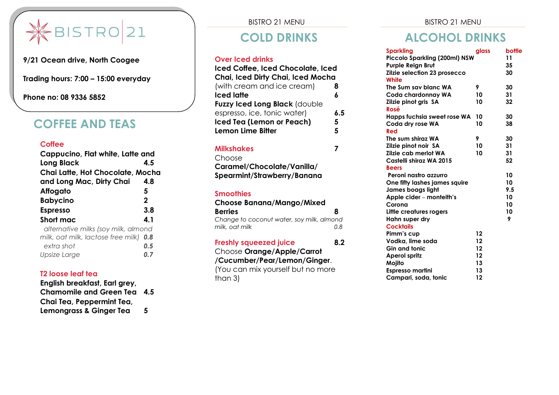

**9/21 Ocean drive, North Coogee** 

**Trading hours: 7:00 – 15:00 everyday** 

**Phone no: 08 9336 5852**

### **COFFEE AND TEAS**

#### **Coffee**

| Cappucino, Flat white, Latte and       |             |
|----------------------------------------|-------------|
| <b>Long Black</b>                      | 4.5         |
| Chai Latte, Hot Chocolate, Mocha       |             |
| and Long Mac, Dirty Chai               | 4.8         |
| <b>Affogato</b>                        | 5           |
| <b>Babycino</b>                        | $\mathbf 2$ |
| <b>Espresso</b>                        | 3.8         |
| Short mac                              | 4.1         |
| alternative milks (soy milk, almond    |             |
| milk, oat milk, lactose free milk) 0.8 |             |
| extra shot                             | 0.5         |
| Upsize Large                           |             |

### **T2 loose leaf tea**

**English breakfast, Earl grey, Chamomile and Green Tea 4.5 Chai Tea, Peppermint Tea, Lemongrass & Ginger Tea 5**

BISTRO 21 MENU

### **COLD DRINKS**

#### **Over Iced drinks**

| Iced Coffee, Iced Chocolate, Iced |     |
|-----------------------------------|-----|
| Chai, Iced Dirty Chai, Iced Mocha |     |
| (with cream and ice cream)        | 8   |
| <b>Iced latte</b>                 | 6   |
| Fuzzy Iced Long Black (double     |     |
| espresso, ice, tonic water)       | 6.5 |
| Iced Tea (Lemon or Peach)         | 5   |
| <b>Lemon Lime Bitter</b>          | 5   |
|                                   |     |

#### **Milkshakes 7**

Choose

**Caramel/Chocolate/Vanilla/ Spearmint/Strawberry/Banana**

#### **Smoothies**

| <b>Choose Banana/Mango/Mixed</b>                            |     |  |
|-------------------------------------------------------------|-----|--|
| <b>Berries</b>                                              | 8   |  |
| Change to coconut water, soy milk, almond<br>milk, oat milk | 0 R |  |
| <b>Freshly squeezed juice</b>                               | 82  |  |

#### Choose **Orange/Apple/Carrot /Cucumber/Pear/Lemon/Ginger**. (You can mix yourself but no more than 3)

## **ALCOHOL DRINKS**

| <b>Sparkling</b>                      | glass | bottle |
|---------------------------------------|-------|--------|
| Piccolo Sparkling (200ml) NSW         |       | 11     |
| <b>Purple Reign Brut</b>              |       | 35     |
| Zilzie selection 23 prosecco<br>White |       | 30     |
| The Sum say blanc WA                  | 9     | 30     |
| Coda chardonnay WA                    | 10    | 31     |
| Zilzie pinot gris SA                  | 10    | 32     |
| Rosé                                  |       |        |
| Happs fuchsia sweet rose WA           | 10    | 30     |
| Coda dry rose WA                      | 10    | 38     |
| Red                                   |       |        |
| The sum shiraz WA                     | 9     | 30     |
| Zilzie pinot noir SA                  | 10    | 31     |
| Zilzie cab merlot WA                  | 10    | 31     |
| Castelli shiraz WA 2015               |       | 52     |
| <b>Beers</b>                          |       |        |
| Peroni nastro azzurro                 |       | 10     |
| One fifty lashes james squire         |       | 10     |
| James boags light                     |       | 9.5    |
| Apple cider - monteith's              |       | 10     |
| Corona                                |       | 10     |
| Little creatures rogers               |       | 10     |
| Hahn super dry                        |       | 9      |
| <b>Cocktails</b>                      |       |        |
| Pimm's cup                            | 12    |        |
| Vodka, lime soda                      | 12    |        |
| <b>Gin and tonic</b>                  | 12    |        |
| <b>Aperol spritz</b>                  | 12    |        |
| Mojito                                | 13    |        |
| <b>Espresso martini</b>               | 13    |        |
| Campari, soda, tonic                  | 12    |        |